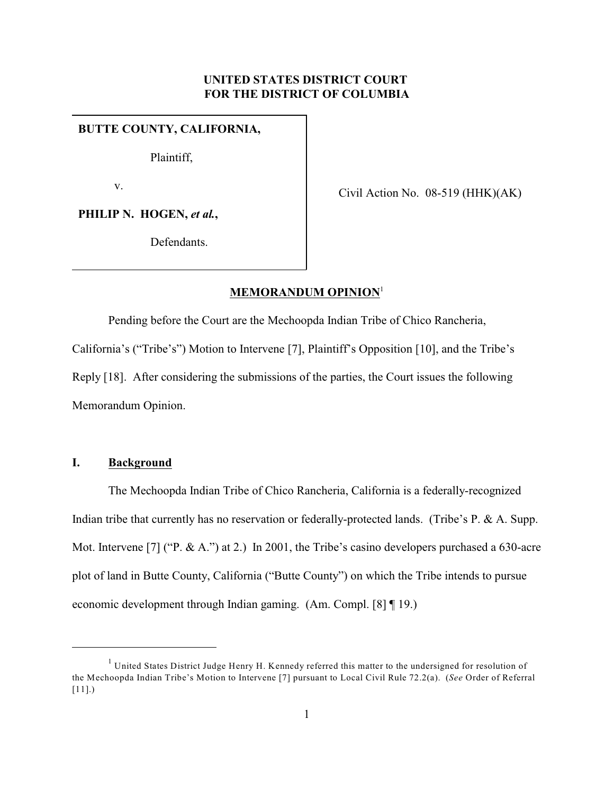## **UNITED STATES DISTRICT COURT FOR THE DISTRICT OF COLUMBIA**

### **BUTTE COUNTY, CALIFORNIA,**

Plaintiff,

v.

Civil Action No. 08-519 (HHK)(AK)

PHILIP N. HOGEN, et al.,

Defendants.

# **MEMORANDUM OPINION**<sup>1</sup>

Pending before the Court are the Mechoopda Indian Tribe of Chico Rancheria, California's ("Tribe's") Motion to Intervene [7], Plaintiff's Opposition [10], and the Tribe's Reply [18]. After considering the submissions of the parties, the Court issues the following Memorandum Opinion.

## **I. Background**

The Mechoopda Indian Tribe of Chico Rancheria, California is a federally-recognized Indian tribe that currently has no reservation or federally-protected lands. (Tribe's P. & A. Supp. Mot. Intervene [7] ("P. & A.") at 2.) In 2001, the Tribe's casino developers purchased a 630-acre plot of land in Butte County, California ("Butte County") on which the Tribe intends to pursue economic development through Indian gaming. (Am. Compl. [8] ¶ 19.)

 $<sup>1</sup>$  United States District Judge Henry H. Kennedy referred this matter to the undersigned for resolution of</sup> the Mechoopda Indian Tribe's Motion to Intervene [7] pursuant to Local Civil Rule 72.2(a). (*See* Order of Referral [11].)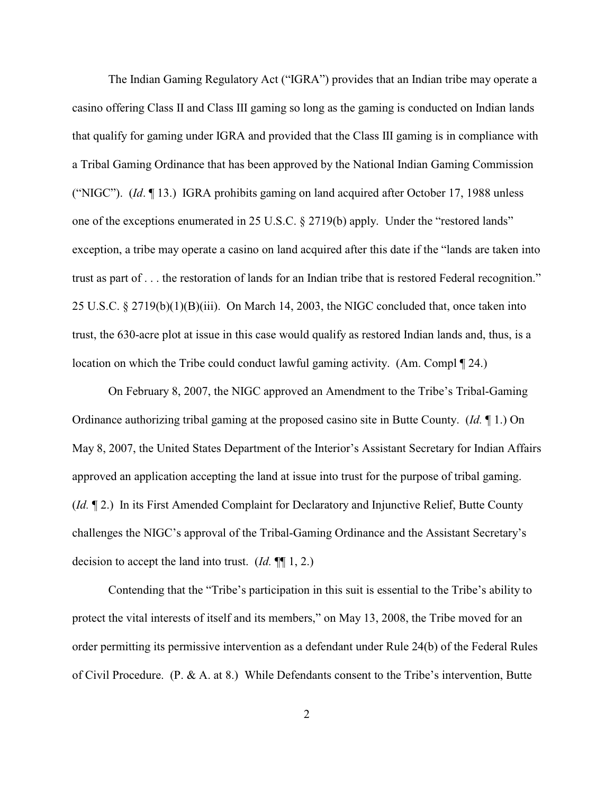The Indian Gaming Regulatory Act ("IGRA") provides that an Indian tribe may operate a casino offering Class II and Class III gaming so long as the gaming is conducted on Indian lands that qualify for gaming under IGRA and provided that the Class III gaming is in compliance with a Tribal Gaming Ordinance that has been approved by the National Indian Gaming Commission ("NIGC"). (*Id*. ¶ 13.) IGRA prohibits gaming on land acquired after October 17, 1988 unless one of the exceptions enumerated in 25 U.S.C. § 2719(b) apply. Under the "restored lands" exception, a tribe may operate a casino on land acquired after this date if the "lands are taken into trust as part of . . . the restoration of lands for an Indian tribe that is restored Federal recognition." 25 U.S.C. § 2719(b)(1)(B)(iii). On March 14, 2003, the NIGC concluded that, once taken into trust, the 630-acre plot at issue in this case would qualify as restored Indian lands and, thus, is a location on which the Tribe could conduct lawful gaming activity. (Am. Compl ¶ 24.)

On February 8, 2007, the NIGC approved an Amendment to the Tribe's Tribal-Gaming Ordinance authorizing tribal gaming at the proposed casino site in Butte County. (*Id.* ¶ 1.) On May 8, 2007, the United States Department of the Interior's Assistant Secretary for Indian Affairs approved an application accepting the land at issue into trust for the purpose of tribal gaming. (*Id.* ¶ 2.) In its First Amended Complaint for Declaratory and Injunctive Relief, Butte County challenges the NIGC's approval of the Tribal-Gaming Ordinance and the Assistant Secretary's decision to accept the land into trust. (*Id.* ¶¶ 1, 2.)

Contending that the "Tribe's participation in this suit is essential to the Tribe's ability to protect the vital interests of itself and its members," on May 13, 2008, the Tribe moved for an order permitting its permissive intervention as a defendant under Rule 24(b) of the Federal Rules of Civil Procedure. (P. & A. at 8.) While Defendants consent to the Tribe's intervention, Butte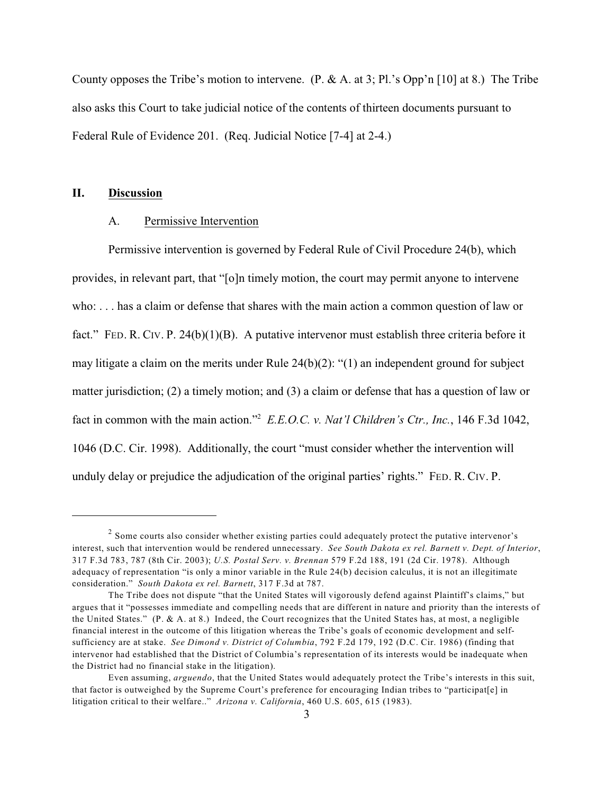County opposes the Tribe's motion to intervene. (P. & A. at 3; Pl.'s Opp'n [10] at 8.) The Tribe also asks this Court to take judicial notice of the contents of thirteen documents pursuant to Federal Rule of Evidence 201. (Req. Judicial Notice [7-4] at 2-4.)

## **II. Discussion**

### A. Permissive Intervention

Permissive intervention is governed by Federal Rule of Civil Procedure 24(b), which provides, in relevant part, that "[o]n timely motion, the court may permit anyone to intervene who: . . . has a claim or defense that shares with the main action a common question of law or fact." FED. R. CIV. P. 24(b)(1)(B). A putative intervenor must establish three criteria before it may litigate a claim on the merits under Rule 24(b)(2): "(1) an independent ground for subject matter jurisdiction; (2) a timely motion; and (3) a claim or defense that has a question of law or fact in common with the main action."<sup>2</sup>  $E.E.O.C. v. Nat'l$  Children's Ctr., Inc., 146 F.3d 1042, 1046 (D.C. Cir. 1998). Additionally, the court "must consider whether the intervention will unduly delay or prejudice the adjudication of the original parties' rights." FED. R. CIV. P.

 $\frac{2}{3}$  Some courts also consider whether existing parties could adequately protect the putative intervenor's interest, such that intervention would be rendered unnecessary. *See South Dakota ex rel. Barnett v. Dept. of Interior*, 317 F.3d 783, 787 (8th Cir. 2003); *U.S. Postal Serv. v. Brennan* 579 F.2d 188, 191 (2d Cir. 1978). Although adequacy of representation "is only a minor variable in the Rule 24(b) decision calculus, it is not an illegitimate consideration." *South Dakota ex rel. Barnett*, 317 F.3d at 787.

The Tribe does not dispute "that the United States will vigorously defend against Plaintiff's claims," but argues that it "possesses immediate and compelling needs that are different in nature and priority than the interests of the United States." (P. & A. at 8.) Indeed, the Court recognizes that the United States has, at most, a negligible financial interest in the outcome of this litigation whereas the Tribe's goals of economic development and selfsufficiency are at stake. *See Dimond v. District of Columbia*, 792 F.2d 179, 192 (D.C. Cir. 1986) (finding that intervenor had established that the District of Columbia's representation of its interests would be inadequate when the District had no financial stake in the litigation).

Even assuming, *arguendo*, that the United States would adequately protect the Tribe's interests in this suit, that factor is outweighed by the Supreme Court's preference for encouraging Indian tribes to "participat[e] in litigation critical to their welfare.." *Arizona v. California*, 460 U.S. 605, 615 (1983).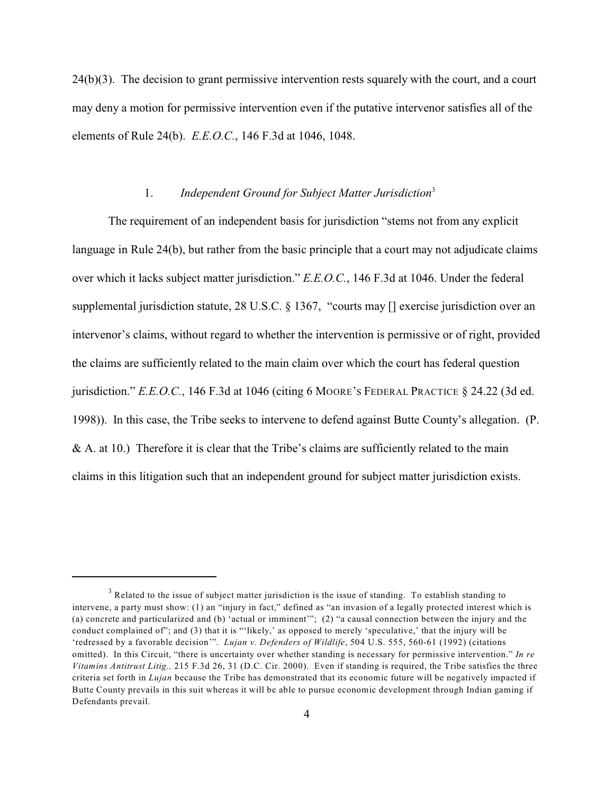24(b)(3). The decision to grant permissive intervention rests squarely with the court, and a court may deny a motion for permissive intervention even if the putative intervenor satisfies all of the elements of Rule 24(b). *E.E.O.C.*, 146 F.3d at 1046, 1048.

### 1. *Independent Ground for Subject Matter Jurisdiction*<sup>3</sup>

The requirement of an independent basis for jurisdiction "stems not from any explicit language in Rule 24(b), but rather from the basic principle that a court may not adjudicate claims over which it lacks subject matter jurisdiction." *E.E.O.C.*, 146 F.3d at 1046. Under the federal supplemental jurisdiction statute, 28 U.S.C. § 1367, "courts may [] exercise jurisdiction over an intervenor's claims, without regard to whether the intervention is permissive or of right, provided the claims are sufficiently related to the main claim over which the court has federal question jurisdiction." *E.E.O.C.*, 146 F.3d at 1046 (citing 6 MOORE'S FEDERAL PRACTICE § 24.22 (3d ed. 1998)). In this case, the Tribe seeks to intervene to defend against Butte County's allegation. (P. & A. at 10.) Therefore it is clear that the Tribe's claims are sufficiently related to the main claims in this litigation such that an independent ground for subject matter jurisdiction exists.

 $3$  Related to the issue of subject matter jurisdiction is the issue of standing. To establish standing to intervene, a party must show: (1) an "injury in fact," defined as "an invasion of a legally protected interest which is (a) concrete and particularized and (b) 'actual or imminent'"; (2) "a causal connection between the injury and the conduct complained of"; and (3) that it is "'likely,' as opposed to merely 'speculative,' that the injury will be 'redressed by a favorable decision'". *Lujan v. Defenders of Wildlife*, 504 U.S. 555, 560-61 (1992) (citations omitted). In this Circuit, "there is uncertainty over whether standing is necessary for permissive intervention." *In re Vitamins Antitrust Litig.,* 215 F.3d 26, 31 (D.C. Cir. 2000). Even if standing is required, the Tribe satisfies the three criteria set forth in *Lujan* because the Tribe has demonstrated that its economic future will be negatively impacted if Butte County prevails in this suit whereas it will be able to pursue economic development through Indian gaming if Defendants prevail.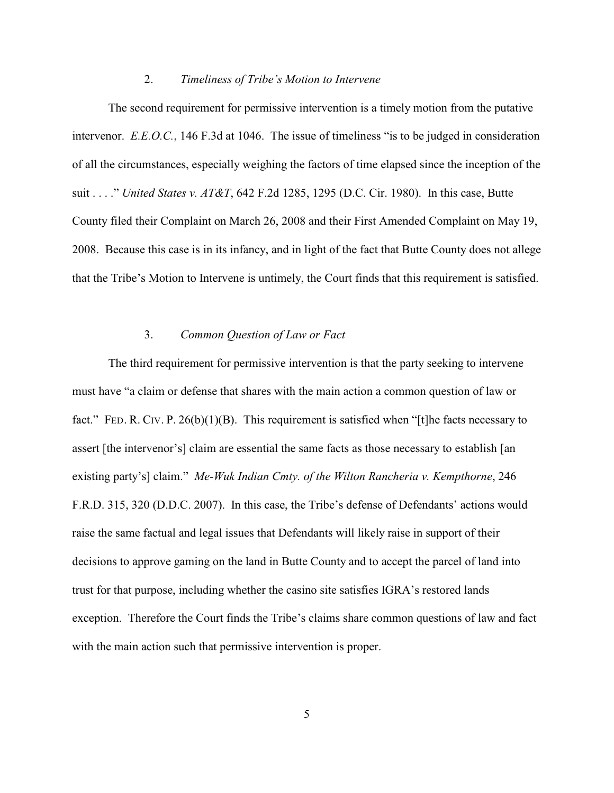#### 2. *Timeliness of Tribe's Motion to Intervene*

The second requirement for permissive intervention is a timely motion from the putative intervenor. *E.E.O.C.*, 146 F.3d at 1046. The issue of timeliness "is to be judged in consideration of all the circumstances, especially weighing the factors of time elapsed since the inception of the suit . . . ." *United States v. AT&T*, 642 F.2d 1285, 1295 (D.C. Cir. 1980). In this case, Butte County filed their Complaint on March 26, 2008 and their First Amended Complaint on May 19, 2008. Because this case is in its infancy, and in light of the fact that Butte County does not allege that the Tribe's Motion to Intervene is untimely, the Court finds that this requirement is satisfied.

#### 3. *Common Question of Law or Fact*

The third requirement for permissive intervention is that the party seeking to intervene must have "a claim or defense that shares with the main action a common question of law or fact." FED. R. CIV. P.  $26(b)(1)(B)$ . This requirement is satisfied when "[t]he facts necessary to assert [the intervenor's] claim are essential the same facts as those necessary to establish [an existing party's] claim." *Me-Wuk Indian Cmty. of the Wilton Rancheria v. Kempthorne*, 246 F.R.D. 315, 320 (D.D.C. 2007). In this case, the Tribe's defense of Defendants' actions would raise the same factual and legal issues that Defendants will likely raise in support of their decisions to approve gaming on the land in Butte County and to accept the parcel of land into trust for that purpose, including whether the casino site satisfies IGRA's restored lands exception. Therefore the Court finds the Tribe's claims share common questions of law and fact with the main action such that permissive intervention is proper.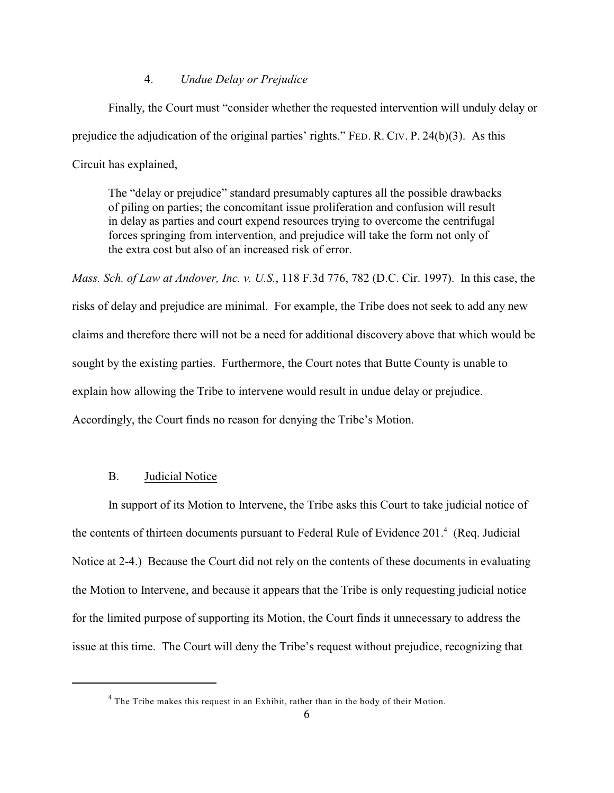#### 4. *Undue Delay or Prejudice*

Finally, the Court must "consider whether the requested intervention will unduly delay or prejudice the adjudication of the original parties' rights." FED. R. CIV. P. 24(b)(3). As this Circuit has explained,

The "delay or prejudice" standard presumably captures all the possible drawbacks of piling on parties; the concomitant issue proliferation and confusion will result in delay as parties and court expend resources trying to overcome the centrifugal forces springing from intervention, and prejudice will take the form not only of the extra cost but also of an increased risk of error.

*Mass. Sch. of Law at Andover, Inc. v. U.S.*, 118 F.3d 776, 782 (D.C. Cir. 1997). In this case, the risks of delay and prejudice are minimal. For example, the Tribe does not seek to add any new claims and therefore there will not be a need for additional discovery above that which would be sought by the existing parties. Furthermore, the Court notes that Butte County is unable to explain how allowing the Tribe to intervene would result in undue delay or prejudice. Accordingly, the Court finds no reason for denying the Tribe's Motion.

### B. Judicial Notice

In support of its Motion to Intervene, the Tribe asks this Court to take judicial notice of the contents of thirteen documents pursuant to Federal Rule of Evidence  $201<sup>4</sup>$  (Req. Judicial Notice at 2-4.) Because the Court did not rely on the contents of these documents in evaluating the Motion to Intervene, and because it appears that the Tribe is only requesting judicial notice for the limited purpose of supporting its Motion, the Court finds it unnecessary to address the issue at this time. The Court will deny the Tribe's request without prejudice, recognizing that

 $4$  The Tribe makes this request in an Exhibit, rather than in the body of their Motion.